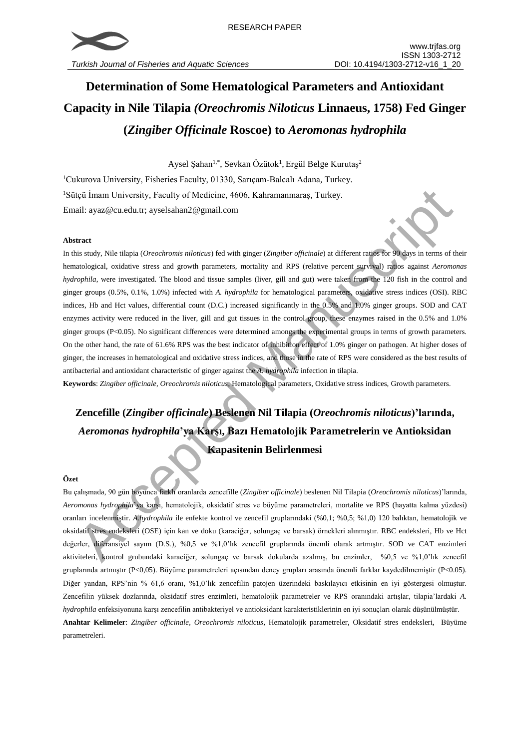

# **Determination of Some Hematological Parameters and Antioxidant Capacity in Nile Tilapia** *(Oreochromis Niloticus* **Linnaeus, 1758) Fed Ginger (***Zingiber Officinale* **Roscoe) to** *Aeromonas hydrophila*

Aysel Şahan<sup>1,\*</sup>, Sevkan Özütok<sup>1</sup>, Ergül Belge Kurutaş<sup>2</sup>

<sup>1</sup>Cukurova University, Fisheries Faculty, 01330, Sarıçam-Balcalı Adana, Turkey. <sup>1</sup>Sütçü İmam University, Faculty of Medicine, 4606, Kahramanmaraş, Turkey. Email: ayaz@cu.edu.tr; ayselsahan2@gmail.com

# **Abstract**

In this study, Nile tilapia (*Oreochromis niloticus*) fed with ginger (*Zingiber officinale*) at different ratios for 90 days in terms of their hematological, oxidative stress and growth parameters, mortality and RPS (relative percent survival) ratios against *Aeromonas hydrophila*, were investigated. The blood and tissue samples (liver, gill and gut) were taken from the 120 fish in the control and ginger groups (0.5%, 0.1%, 1.0%) infected with *A. hydrophila* for hematological parameters, oxidative stress indices (OSI). RBC indices, Hb and Hct values, differential count (D.C.) increased significantly in the 0.5% and 1.0% ginger groups. SOD and CAT enzymes activity were reduced in the liver, gill and gut tissues in the control group, these enzymes raised in the 0.5% and 1.0% ginger groups (P<0.05). No significant differences were determined amongs the experimental groups in terms of growth parameters. On the other hand, the rate of 61.6% RPS was the best indicator of inhibition effect of 1.0% ginger on pathogen. At higher doses of ginger, the increases in hematological and oxidative stress indices, and those in the rate of RPS were considered as the best results of antibacterial and antioxidant characteristic of ginger against the *A. hydrophila* infection in tilapia. FIESEARCH PAPER<br>
Sweetsheep and Aquatic Sources<br>
DOL: 10.4184/1503-2712-v16 comparison and Aquatic Sources<br>
DOL: 10.4184/1503-2712-v16 1.22<br>
Determination of Some Hematological Parameters and Antioxidant<br>
Apacity in Nile

**Keywords**: *Zingiber officinale*, *Oreochromis niloticus*, Hematological parameters, Oxidative stress indices, Growth parameters.

**Zencefille (***Zingiber officinale***) Beslenen Nil Tilapia (***Oreochromis niloticus***)'larında,** *Aeromonas hydrophila***'ya Karşı, Bazı Hematolojik Parametrelerin ve Antioksidan Kapasitenin Belirlenmesi**

#### **Özet**

Bu çalışmada, 90 gün boyunca farklı oranlarda zencefille (*Zingiber officinale*) beslenen Nil Tilapia (*Oreochromis niloticus*)'larında, *Aeromonas hydrophila*'ya karşı, hematolojik, oksidatif stres ve büyüme parametreleri, mortalite ve RPS (hayatta kalma yüzdesi) oranları incelenmiştir. *A.hydrophila* ile enfekte kontrol ve zencefil gruplarındaki (%0,1; %0,5; %1,0) 120 balıktan, hematolojik ve oksidatif stres endeksleri (OSE) için kan ve doku (karaciğer, solungaç ve barsak) örnekleri alınmıştır. RBC endeksleri, Hb ve Hct değerler, diferansiyel sayım (D.S.), %0,5 ve %1,0'lık zencefil gruplarında önemli olarak artmıştır. SOD ve CAT enzimleri aktiviteleri, kontrol grubundaki karaciğer, solungaç ve barsak dokularda azalmış, bu enzimler, %0,5 ve %1,0'lık zencefil gruplarında artmıştır (P<0,05). Büyüme parametreleri açısından deney grupları arasında önemli farklar kaydedilmemiştir (P<0.05). Diğer yandan, RPS'nin % 61,6 oranı, %1,0'lık zencefilin patojen üzerindeki baskılayıcı etkisinin en iyi göstergesi olmuştur. Zencefilin yüksek dozlarında, oksidatif stres enzimleri, hematolojik parametreler ve RPS oranındaki artışlar, tilapia'lardaki *A. hydrophila* enfeksiyonuna karşı zencefilin antibakteriyel ve antioksidant karakteristiklerinin en iyi sonuçları olarak düşünülmüştür. **Anahtar Kelimeler**: *Zingiber officinale*, *Oreochromis niloticus*, Hematolojik parametreler, Oksidatif stres endeksleri, Büyüme parametreleri.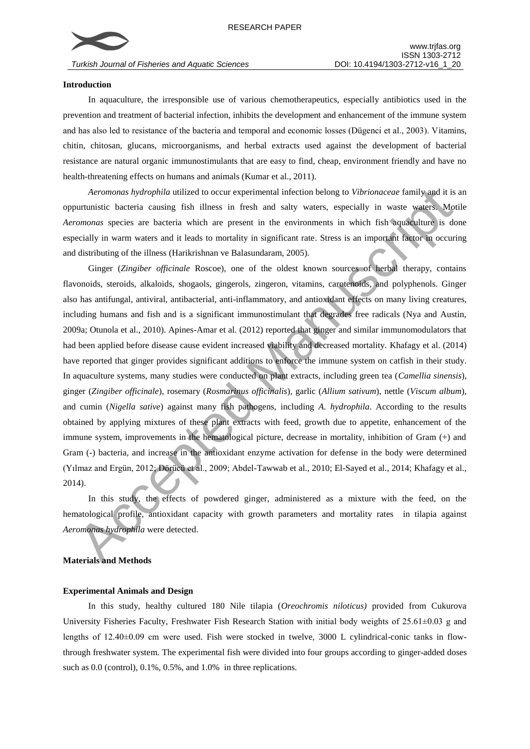

# **Introduction**

In aquaculture, the irresponsible use of various chemotherapeutics, especially antibiotics used in the prevention and treatment of bacterial infection, inhibits the development and enhancement of the immune system and has also led to resistance of the bacteria and temporal and economic losses (Dügenci et al., 2003). Vitamins, chitin, chitosan, glucans, microorganisms, and herbal extracts used against the development of bacterial resistance are natural organic immunostimulants that are easy to find, cheap, environment friendly and have no health-threatening effects on humans and animals (Kumar et al., 2011).

*Aeromonas hydrophila* utilized to occur experimental infection belong to *Vibrionaceae* family and it is an oppurtunistic bacteria causing fish illness in fresh and salty waters, especially in waste waters. Motile *Aeromonas* species are bacteria which are present in the environments in which fish aquaculture is done especially in warm waters and it leads to mortality in significant rate. Stress is an important factor in occuring and distributing of the illness (Harikrishnan ve Balasundaram, 2005).

Ginger (*Zingiber officinale* Roscoe), one of the oldest known sources of herbal therapy, contains flavonoids, steroids, alkaloids, shogaols, gingerols, zingeron, vitamins, carotenoids, and polyphenols. Ginger also has antifungal, antiviral, antibacterial, anti-inflammatory, and antioxidant effects on many living creatures, including humans and fish and is a significant immunostimulant that degrades free radicals (Nya and Austin, 2009a; Otunola et al., 2010). Apines-Amar et al. (2012) reported that ginger and similar immunomodulators that had been applied before disease cause evident increased viability and decreased mortality. Khafagy et al. (2014) have reported that ginger provides significant additions to enforce the immune system on catfish in their study. In aquaculture systems, many studies were conducted on plant extracts, including green tea (*Camellia sinensis*), ginger (*Zingiber officinale*), rosemary (*Rosmarinus officinalis*), garlic (*Allium sativum*), nettle (*Viscum album*), and cumin (*Nigella sative*) against many fish pathogens, including *A. hydrophila*. According to the results obtained by applying mixtures of these plant extracts with feed, growth due to appetite, enhancement of the immune system, improvements in the hematological picture, decrease in mortality, inhibition of Gram (+) and Gram (-) bacteria, and increase in the antioxidant enzyme activation for defense in the body were determined (Yılmaz and Ergün, 2012; Dörücü et al., 2009; Abdel-Tawwab et al., 2010; El-Sayed et al., 2014; Khafagy et al., 2014). **EXERENCI PAPER**<br>
Someonly of Fighnesia and Aquatic Someons<br>
DOE: 10.4184/1303-2712-v18 (SNN 1030-2712-12 (SNN 1030-2712-V18 (SNN 1030-2712-V18 (SNN 1030-2712-V18 (SNN 1030-2712-V18 (SNN 1030-2712-V18 (SNN 1030-2712-V18 (S

In this study, the effects of powdered ginger, administered as a mixture with the feed, on the hematological profile, antioxidant capacity with growth parameters and mortality rates in tilapia against *Aeromonas hydrophila* were detected.

# **Materials and Methods**

# **Experimental Animals and Design**

In this study, healthy cultured 180 Nile tilapia (*Oreochromis niloticus)* provided from Cukurova University Fisheries Faculty, Freshwater Fish Research Station with initial body weights of  $25.61\pm0.03$  g and lengths of 12.40±0.09 cm were used. Fish were stocked in twelve, 3000 L cylindrical-conic tanks in flowthrough freshwater system. The experimental fish were divided into four groups according to ginger-added doses such as 0.0 (control), 0.1%, 0.5%, and 1.0% in three replications.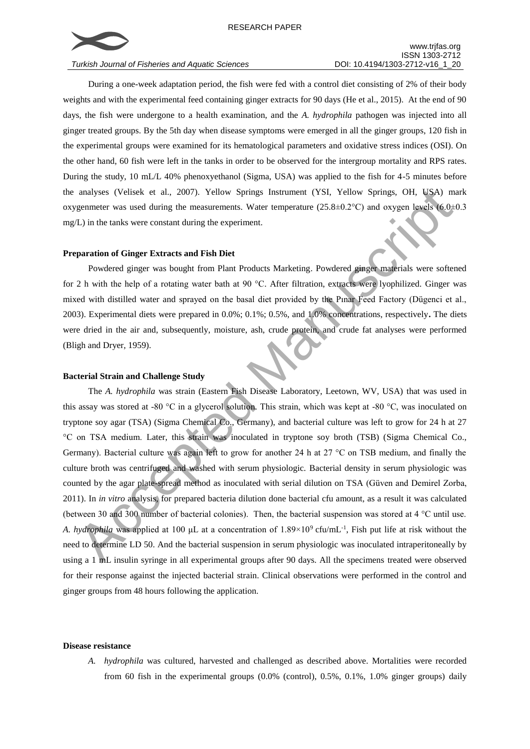

During a one-week adaptation period, the fish were fed with a control diet consisting of 2% of their body weights and with the experimental feed containing ginger extracts for 90 days (He et al., 2015). At the end of 90 days, the fish were undergone to a health examination, and the *A. hydrophila* pathogen was injected into all ginger treated groups. By the 5th day when disease symptoms were emerged in all the ginger groups, 120 fish in the experimental groups were examined for its hematological parameters and oxidative stress indices (OSI). On the other hand, 60 fish were left in the tanks in order to be observed for the intergroup mortality and RPS rates. During the study, 10 mL/L 40% phenoxyethanol (Sigma, USA) was applied to the fish for 4-5 minutes before the analyses (Velisek et al., 2007). Yellow Springs Instrument (YSI, Yellow Springs, OH, USA) mark oxygenmeter was used during the measurements. Water temperature  $(25.8\pm0.2^{\circ}\text{C})$  and oxygen levels  $(6.0\pm0.3)$ mg/L) in the tanks were constant during the experiment.

# **Preparation of Ginger Extracts and Fish Diet**

Powdered ginger was bought from Plant Products Marketing. Powdered ginger materials were softened for 2 h with the help of a rotating water bath at 90 °C. After filtration, extracts were lyophilized. Ginger was mixed with distilled water and sprayed on the basal diet provided by the Pınar Feed Factory (Dügenci et al., 2003). Experimental diets were prepared in 0.0%; 0.1%; 0.5%, and 1.0% concentrations, respectively**.** The diets were dried in the air and, subsequently, moisture, ash, crude protein, and crude fat analyses were performed (Bligh and Dryer, 1959).

# **Bacterial Strain and Challenge Study**

The *A. hydrophila* was strain (Eastern Fish Disease Laboratory, Leetown, WV, USA) that was used in this assay was stored at -80 °C in a glycerol solution. This strain, which was kept at -80 °C, was inoculated on tryptone soy agar (TSA) (Sigma Chemical Co., Germany), and bacterial culture was left to grow for 24 h at 27 °C on TSA medium. Later, this strain was inoculated in tryptone soy broth (TSB) (Sigma Chemical Co., Germany). Bacterial culture was again left to grow for another 24 h at 27 °C on TSB medium, and finally the culture broth was centrifuged and washed with serum physiologic. Bacterial density in serum physiologic was counted by the agar plate-spread method as inoculated with serial dilution on TSA (Güven and Demirel Zorba, 2011). In *in vitro* analysis, for prepared bacteria dilution done bacterial cfu amount, as a result it was calculated (between 30 and 300 number of bacterial colonies). Then, the bacterial suspension was stored at 4 °C until use. A. *hydrophila* was applied at 100 μL at a concentration of 1.89×10<sup>9</sup> cfu/mL<sup>-1</sup>, Fish put life at risk without the need to determine LD 50. And the bacterial suspension in serum physiologic was inoculated intraperitoneally by using a 1 mL insulin syringe in all experimental groups after 90 days. All the specimens treated were observed for their response against the injected bacterial strain. Clinical observations were performed in the control and ginger groups from 48 hours following the application. **EXERENCI PAPER**<br>
Source of the control of Findmens and Aquatic Sources<br>
DOI: 10.4184/1303-2712-v18<br>
During a one-week adaptation period, the find were fed with a control diet consisting of 2% of their bo<br>
physicals with

# **Disease resistance**

*A. hydrophila* was cultured, harvested and challenged as described above. Mortalities were recorded from 60 fish in the experimental groups (0.0% (control), 0.5%, 0.1%, 1.0% ginger groups) daily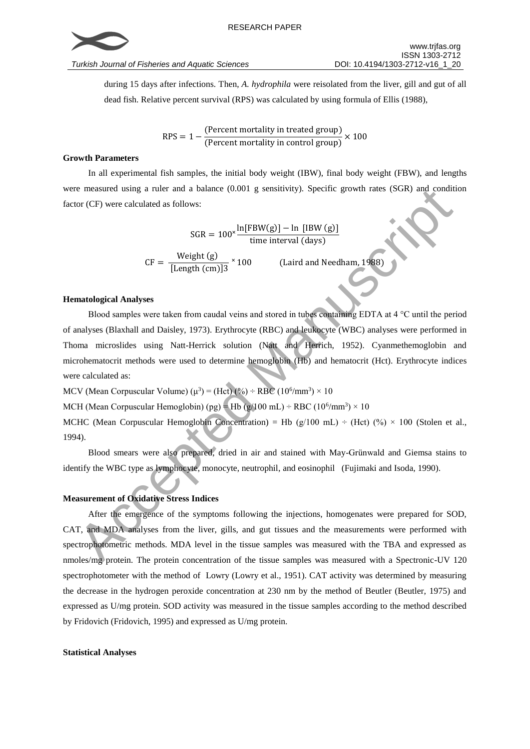

during 15 days after infections. Then, *A. hydrophila* were reisolated from the liver, gill and gut of all dead fish. Relative percent survival (RPS) was calculated by using formula of Ellis (1988),

$$
RPS = 1 - \frac{(\text{Percent mortality in treated group})}{(\text{Percent mortality in control group})} \times 100
$$

# **Growth Parameters**

In all experimental fish samples, the initial body weight (IBW), final body weight (FBW), and lengths were measured using a ruler and a balance (0.001 g sensitivity). Specific growth rates (SGR) and condition factor (CF) were calculated as follows:

> $SGR = 100 \times \frac{\ln[FBW(g)] - \ln[IBW(g)]}{\frac{1}{2}}$ time interval (days)

 $CF = \frac{Weight(g)}{[Length(g)]}$  $\frac{100 \text{ kg}}{\text{[Length (cm)]3}} \times 100$  (Laird and Needham, 1988)

# **Hematological Analyses**

Blood samples were taken from caudal veins and stored in tubes containing EDTA at 4 °C until the period of analyses (Blaxhall and Daisley, 1973). Erythrocyte (RBC) and leukocyte (WBC) analyses were performed in Thoma microslides using Natt-Herrick solution (Natt and Herrich, 1952). Cyanmethemoglobin and microhematocrit methods were used to determine hemoglobin (Hb) and hematocrit (Hct). Erythrocyte indices were calculated as: **EXECUTE AND THE CONSULTERED AND THE CONSULTERED AND SEARCH (WE USE ARE SEARCH AND SEARCH (SEARCH AND SEARCH AND SEARCH AND SEARCH AND SEARCH AND SEARCH AND SEARCH AND SEARCH AND SEARCH AND SEARCH AND SEARCH AND SEARCH AN** 

MCV (Mean Corpuscular Volume)  $(\mu^3) = (Het)(\%) \div RBC(10^6/mm^3) \times 10$ 

MCH (Mean Corpuscular Hemoglobin) (pg) = Hb (g/100 mL) ÷ RBC ( $10^6$ /mm<sup>3</sup>) × 10

MCHC (Mean Corpuscular Hemoglobin Concentration) = Hb (g/100 mL) ÷ (Hct) (%) × 100 (Stolen et al., 1994).

Blood smears were also prepared, dried in air and stained with May-Grünwald and Giemsa stains to identify the WBC type as lymphocyte, monocyte, neutrophil, and eosinophil (Fujimaki and Isoda, 1990).

# **Measurement of Oxidative Stress Indices**

After the emergence of the symptoms following the injections, homogenates were prepared for SOD, CAT, and MDA analyses from the liver, gills, and gut tissues and the measurements were performed with spectrophotometric methods. MDA level in the tissue samples was measured with the TBA and expressed as nmoles/mg protein. The protein concentration of the tissue samples was measured with a Spectronic-UV 120 spectrophotometer with the method of Lowry (Lowry et al., 1951). CAT activity was determined by measuring the decrease in the hydrogen peroxide concentration at 230 nm by the method of Beutler (Beutler, 1975) and expressed as U/mg protein. SOD activity was measured in the tissue samples according to the method described by Fridovich (Fridovich, 1995) and expressed as U/mg protein.

# **Statistical Analyses**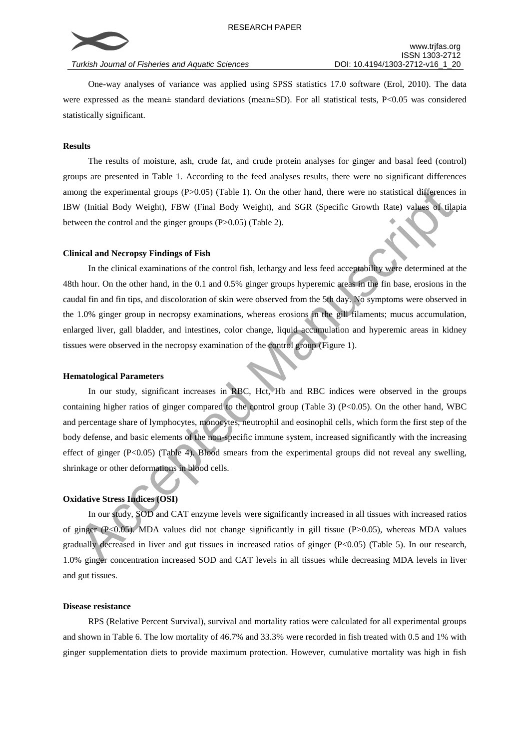

One-way analyses of variance was applied using SPSS statistics 17.0 software (Erol, 2010). The data were expressed as the mean± standard deviations (mean±SD). For all statistical tests, P<0.05 was considered statistically significant.

# **Results**

The results of moisture, ash, crude fat, and crude protein analyses for ginger and basal feed (control) groups are presented in Table 1. According to the feed analyses results, there were no significant differences among the experimental groups (P>0.05) (Table 1). On the other hand, there were no statistical differences in IBW (Initial Body Weight), FBW (Final Body Weight), and SGR (Specific Growth Rate) values of tilapia between the control and the ginger groups (P>0.05) (Table 2).

# **Clinical and Necropsy Findings of Fish**

In the clinical examinations of the control fish, lethargy and less feed acceptability were determined at the 48th hour. On the other hand, in the 0.1 and 0.5% ginger groups hyperemic areas in the fin base, erosions in the caudal fin and fin tips, and discoloration of skin were observed from the 5th day. No symptoms were observed in the 1.0% ginger group in necropsy examinations, whereas erosions in the gill filaments; mucus accumulation, enlarged liver, gall bladder, and intestines, color change, liquid accumulation and hyperemic areas in kidney tissues were observed in the necropsy examination of the control group (Figure 1).

# **Hematological Parameters**

In our study, significant increases in RBC, Hct, Hb and RBC indices were observed in the groups containing higher ratios of ginger compared to the control group (Table 3) (P<0.05). On the other hand, WBC and percentage share of lymphocytes, monocytes, neutrophil and eosinophil cells, which form the first step of the body defense, and basic elements of the non-specific immune system, increased significantly with the increasing effect of ginger (P<0.05) (Table 4). Blood smears from the experimental groups did not reveal any swelling, shrinkage or other deformations in blood cells. **EXERCIANCH PAPER**<br>
Someony analyses of variance was applied using SPSS surfaces 100: 10.4184/303-2712-v18 -12<br>
One-way analyses of variance was applied using SPSS surfaces 17.0 setwore (Erol, 2010). The discussion of the

# **Oxidative Stress Indices (OSI)**

In our study, SOD and CAT enzyme levels were significantly increased in all tissues with increased ratios of ginger (P<0.05). MDA values did not change significantly in gill tissue (P $>0.05$ ), whereas MDA values gradually decreased in liver and gut tissues in increased ratios of ginger (P<0.05) (Table 5). In our research, 1.0% ginger concentration increased SOD and CAT levels in all tissues while decreasing MDA levels in liver and gut tissues.

# **Disease resistance**

RPS (Relative Percent Survival), survival and mortality ratios were calculated for all experimental groups and shown in Table 6. The low mortality of 46.7% and 33.3% were recorded in fish treated with 0.5 and 1% with ginger supplementation diets to provide maximum protection. However, cumulative mortality was high in fish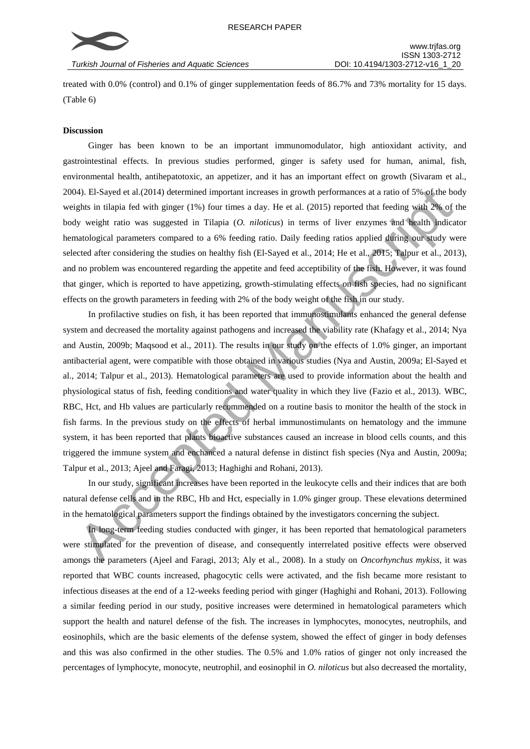

treated with 0.0% (control) and 0.1% of ginger supplementation feeds of 86.7% and 73% mortality for 15 days.

# **Discussion**

(Table 6)

Ginger has been known to be an important immunomodulator, high antioxidant activity, and gastrointestinal effects. In previous studies performed, ginger is safety used for human, animal, fish, environmental health, antihepatotoxic, an appetizer, and it has an important effect on growth (Sivaram et al., 2004). El-Sayed et al.(2014) determined important increases in growth performances at a ratio of 5% of the body weights in tilapia fed with ginger (1%) four times a day. He et al. (2015) reported that feeding with 2% of the body weight ratio was suggested in Tilapia (*O. niloticus*) in terms of liver enzymes and health indicator hematological parameters compared to a 6% feeding ratio. Daily feeding ratios applied during our study were selected after considering the studies on healthy fish (El-Sayed et al., 2014; He et al., 2015; Talpur et al., 2013), and no problem was encountered regarding the appetite and feed acceptibility of the fish. However, it was found that ginger, which is reported to have appetizing, growth-stimulating effects on fish species, had no significant effects on the growth parameters in feeding with 2% of the body weight of the fish in our study. EXAMBLE THE SEARCH PAPER<br>
Source of the present and Aquatic Sources<br>
1900: 10.4184/1303-2712-v16<br>
Noti 0.07% (control) and 0.1% of ginger supplementation feeds of 86.7% and 73% mortality for 15 de<br>
1906: 10.4184/1303-2712-

In profilactive studies on fish, it has been reported that immunostimulants enhanced the general defense system and decreased the mortality against pathogens and increased the viability rate (Khafagy et al., 2014; Nya and Austin, 2009b; Maqsood et al., 2011). The results in our study on the effects of 1.0% ginger, an important antibacterial agent, were compatible with those obtained in various studies (Nya and Austin, 2009a; El-Sayed et al., 2014; Talpur et al., 2013). Hematological parameters are used to provide information about the health and physiological status of fish, feeding conditions and water quality in which they live (Fazio et al., 2013). WBC, RBC, Hct, and Hb values are particularly recommended on a routine basis to monitor the health of the stock in fish farms. In the previous study on the effects of herbal immunostimulants on hematology and the immune system, it has been reported that plants bioactive substances caused an increase in blood cells counts, and this triggered the immune system and enchanced a natural defense in distinct fish species (Nya and Austin, 2009a; Talpur et al., 2013; Ajeel and Faragi, 2013; Haghighi and Rohani, 2013).

In our study, significant increases have been reported in the leukocyte cells and their indices that are both natural defense cells and in the RBC, Hb and Hct, especially in 1.0% ginger group. These elevations determined in the hematological parameters support the findings obtained by the investigators concerning the subject.

In long-term feeding studies conducted with ginger, it has been reported that hematological parameters were stimulated for the prevention of disease, and consequently interrelated positive effects were observed amongs the parameters (Ajeel and Faragi, 2013; Aly et al., 2008). In a study on *Oncorhynchus mykiss*, it was reported that WBC counts increased, phagocytic cells were activated, and the fish became more resistant to infectious diseases at the end of a 12-weeks feeding period with ginger (Haghighi and Rohani, 2013). Following a similar feeding period in our study, positive increases were determined in hematological parameters which support the health and naturel defense of the fish. The increases in lymphocytes, monocytes, neutrophils, and eosinophils, which are the basic elements of the defense system, showed the effect of ginger in body defenses and this was also confirmed in the other studies. The 0.5% and 1.0% ratios of ginger not only increased the percentages of lymphocyte, monocyte, neutrophil, and eosinophil in *O. niloticus* but also decreased the mortality,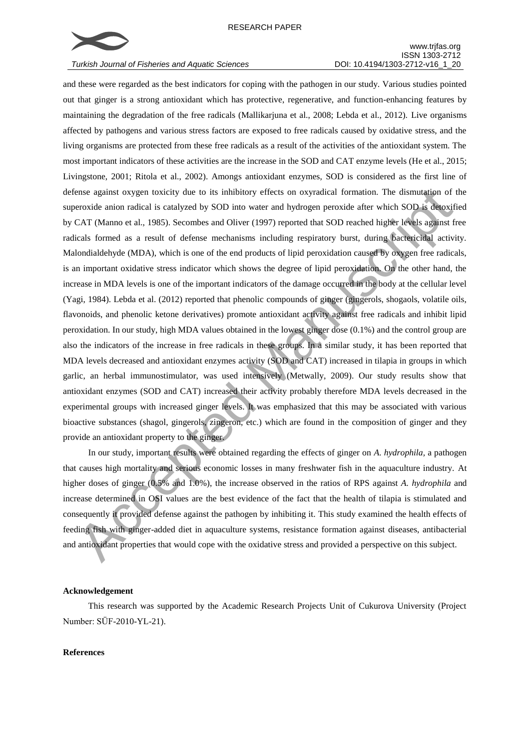

and these were regarded as the best indicators for coping with the pathogen in our study. Various studies pointed out that ginger is a strong antioxidant which has protective, regenerative, and function-enhancing features by maintaining the degradation of the free radicals (Mallikarjuna et al., 2008; Lebda et al., 2012). Live organisms affected by pathogens and various stress factors are exposed to free radicals caused by oxidative stress, and the living organisms are protected from these free radicals as a result of the activities of the antioxidant system. The most important indicators of these activities are the increase in the SOD and CAT enzyme levels (He et al., 2015; Livingstone, 2001; Ritola et al., 2002). Amongs antioxidant enzymes, SOD is considered as the first line of defense against oxygen toxicity due to its inhibitory effects on oxyradical formation. The dismutation of the superoxide anion radical is catalyzed by SOD into water and hydrogen peroxide after which SOD is detoxified by CAT (Manno et al., 1985). Secombes and Oliver (1997) reported that SOD reached higher levels against free radicals formed as a result of defense mechanisms including respiratory burst, during bactericidal activity. Malondialdehyde (MDA), which is one of the end products of lipid peroxidation caused by oxygen free radicals, is an important oxidative stress indicator which shows the degree of lipid peroxidation. On the other hand, the increase in MDA levels is one of the important indicators of the damage occurred in the body at the cellular level (Yagi, 1984). Lebda et al. (2012) reported that phenolic compounds of ginger (gingerols, shogaols, volatile oils, flavonoids, and phenolic ketone derivatives) promote antioxidant activity against free radicals and inhibit lipid peroxidation. In our study, high MDA values obtained in the lowest ginger dose (0.1%) and the control group are also the indicators of the increase in free radicals in these groups. In a similar study, it has been reported that MDA levels decreased and antioxidant enzymes activity (SOD and CAT) increased in tilapia in groups in which garlic, an herbal immunostimulator, was used intensively (Metwally, 2009). Our study results show that antioxidant enzymes (SOD and CAT) increased their activity probably therefore MDA levels decreased in the experimental groups with increased ginger levels. It was emphasized that this may be associated with various bioactive substances (shagol, gingerols, zingeron, etc.) which are found in the composition of ginger and they provide an antioxidant property to the ginger. RESEARCH PAPER<br>
We will be some and Aquatic Sources<br>
Units (1868) 1963-211 (2002-211)<br>
these verte regarded as the best indicators for coping with the pathogen in our study, Various studies point<br>
that appear is a strong

In our study, important results were obtained regarding the effects of ginger on *A. hydrophila,* a pathogen that causes high mortality and serious economic losses in many freshwater fish in the aquaculture industry. At higher doses of ginger (0.5% and 1.0%), the increase observed in the ratios of RPS against *A. hydrophila* and increase determined in OSI values are the best evidence of the fact that the health of tilapia is stimulated and consequently it provided defense against the pathogen by inhibiting it. This study examined the health effects of feeding fish with ginger-added diet in aquaculture systems, resistance formation against diseases, antibacterial and antioxidant properties that would cope with the oxidative stress and provided a perspective on this subject.

# **Acknowledgement**

This research was supported by the Academic Research Projects Unit of Cukurova University (Project Number: SÜF-2010-YL-21).

# **References**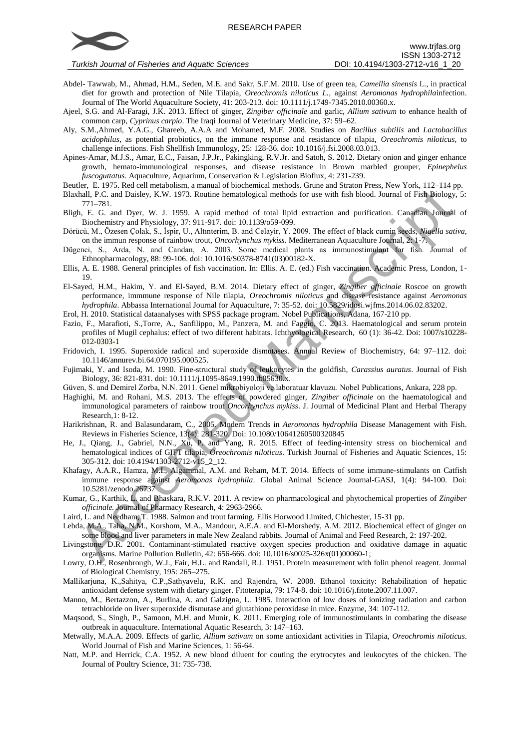

- Abdel- Tawwab, M., Ahmad, H.M., Seden, M.E. and Sakr, S.F.M. 2010. Use of green tea, *Camellia sinensis* L*.*, in practical diet for growth and protection of Nile Tilapia, *Oreochromis niloticus L.*, against *Aeromonas hydrophila*infection. Journal of The World Aquaculture Society, 41: 203-213. doi: 10.1111/j.1749-7345.2010.00360.x.
- Ajeel, S.G. and Al-Faragi, J.K. 2013. Effect of ginger, *Zingiber officinale* and garlic, *Allium sativum* to enhance health of common carp, *Cyprinus carpio*. [The Iraqi Journal of Veterinary Medicine, 37: 59–62.](https://www.google.com.tr/url?sa=t&rct=j&q=&esrc=s&source=web&cd=2&ved=0ahUKEwi8vMrYwu_JAhVCCCwKHX_vCrsQFggjMAE&url=http%3A%2F%2Fwww.iasj.net%2Fiasj%3Ffunc%3Dfulltext%26aId%3D78647&usg=AFQjCNHxC_UkR1PwjE-ygpu2ywtIx32k6g&sig2=DiYcsqNSu3rFhwmWxfU7Ow)
- Aly, S.M.,Ahmed, Y.A.G., Ghareeb, A.A.A and Mohamed, M.F. 2008. Studies on *Bacillus subtilis* and *Lactobacillus acidophilus*, as potential probiotics, on the immune response and resistance of tilapia, *Oreochromis niloticus,* to challenge infections. Fish Shellfish Immunology, 25: 128-36. doi: [10.1016/j.fsi.2008.03.013.](http://dx.doi.org/10.1016/j.fsi.2008.03.013)
- Apines-Amar, M.J.S., Amar, E.C., Faisan, J.P.Jr., Pakingking, R.V.Jr. and Satoh, S. 2012. Dietary onion and ginger enhance growth, hemato-immunological responses, and disease resistance in Brown marbled grouper, *Epinephelus fuscoguttatus*. Aquaculture, Aquarium, Conservation & Legislation Bioflux, 4: 231-239.
- Beutler, E. 1975. Red cell metabolism, a manual of biochemical methods. Grune and Straton Press, New York, 112–114 pp.
- Blaxhall, P.C. and Daisley, K.W. 1973. Routine hematological methods for use with fish blood. Journal of Fish Biology, 5: 771–781.
- Bligh, E. G. and Dyer, W. J. 1959. A rapid method of total lipid extraction and purification. Canadian Journal of Biochemistry and Physiology, 37: 911-917. doi: 10.1139/o59-099.
- Dörücü, M., Özesen Çolak, S., İspir, U., Altınterim, B. and Celayir, Y. 2009. The effect of black cumin seeds, *Nigella sativa*, on the immun response of rainbow trout, *Oncorhynchus mykiss*. Mediterranean Aquaculture Journal, 2: 1-7.
- Dügenci, S., Arda, N. and Candan, A. 2003. Some medical plants as immunostimulant for fish. Journal of Ethnopharmacology, 88: 99-106. doi: 10.1016/S0378-8741(03)00182-X.
- Ellis, A. E. 1988. General principles of fish vaccination. In: Ellis. A. E. (ed.) Fish vaccination. Academic Press, London, 1- 19.
- El-Sayed, H.M., Hakim, Y. and El-Sayed, B.M. 2014. Dietary effect of ginger, *Zingiber officinale* Roscoe on growth performance, immmune response of Nile tilapia, *Oreochromis niloticus* and disease resistance against *Aeromonas hydrophila*. Abbassa International Journal for Aquaculture, 7: 35-52. doi: 10.5829/idosi.wjfms.2014.06.02.83202. RESE[A](https://www.google.com.tr/url?sa=t&rct=j&q=&esrc=s&source=web&cd=1&cad=rja&uact=8&sqi=2&ved=0ahUKEwj1toTxmujKAhXoK5oKHczvD9EQFggdMAA&url=http%3A%2F%2Fwww.journals.elsevier.com%2Fmarine-pollution-bulletin%2F&usg=AFQjCNGPOklDAL9i0iVy0bZLHsg62tAbGw)RCH PAPER<br>
We at the constrained of Findments and Aquatic Sources<br>
United United States (Section 2002-2013)<br>
States (Section 2011-10.1184)<br>
States ([Ma](https://www.google.com.tr/url?sa=t&rct=j&q=&esrc=s&source=web&cd=1&cad=rja&uact=8&ved=0ahUKEwi0i_f3l-jKAhXMDZoKHeCfCisQFggdMAA&url=http%3A%2F%2Fwww.annualreviews.org%2Fjournal%2Fbiochem&usg=AFQjCNFelVNJyEFi4lTjzlCKN0VSUVsW4Q)nuscript Research Constrained Manuscript Research Constrained Cons
- Erol, H. 2010. Statistical dataanalyses with SPSS package program. Nobel Publications, Adana, 167-210 pp.
- Fazio, F., Marafioti, S.,Torre, A., Sanfilippo, M., Panzera, M. and Faggio, C. 2013. Haematological and serum protein profiles of Mugil cephalus: effect of two different habitats. Ichthyological Research, 60 (1): 36-42. Doi: 1007/s10228- 012-0303-1
- Fridovich, I. 1995. Superoxide radical and superoxide dismutases. Annual Review of Biochemistry, 64: 97–112. doi: 10.1146/annurev.bi.64.070195.000525.
- Fujimaki, Y. and Isoda, M. 1990. Fine-structural study of leukocytes in the goldfish, *Carassius auratus*. Journal of Fish Biology, 36: 821-831. doi: 10.1111/j.1095-8649.1990.tb05630.x.
- Güven, S. and Demirel Zorba, N.N. 2011. Genel mikrobiyoloji ve laboratuar klavuzu. Nobel Publications, Ankara, 228 pp.
- Haghighi, M. and Rohani, M.S. 2013. The effects of powdered ginger, *Zingiber officinale* on the haematological and immunological parameters of rainbow trout *Oncorhynchus mykiss*. J. Journal of Medicinal Plant and Herbal Therapy Research,1: 8-12.
- Harikrishnan, R. and Balasundaram, C., 2005. Modern Trends in *Aeromonas hydrophila* Disease Management with Fish. Reviews in Fisheries Science, 13(4): 281-320. Doi: 10.1080/10641260500320845
- He, J., Qiang, J., Gabriel, N.N., Xu, P. and Yang, R. 2015. Effect of feeding-intensity stress on biochemical and hematological indices of GIFT tilapia, *Oreochromis niloticus*. Turkish Journal of Fisheries and Aquatic Sciences, 15: 305-312. doi: 10.4194/1303-2712-v15\_2\_12.
- Khafagy, A.A.R., Hamza, M.I., Algammal, A.M. and Reham, M.T. 2014. Effects of some immune-stimulants on Catfish immune response against *Aeromonas hydrophila*. Global Animal Science Journal-GASJ, 1(4): 94-100. Doi: 10.5281/zenodo.26737
- Kumar, G., Karthik, L. and Bhaskara, R.K.V. 2011. A review on pharmacological and phytochemical properties of *Zingiber officinale.* Journal of Pharmacy Research, 4: 2963-2966.
- Laird, L. and Needham, T. 1988. Salmon and trout farming. Ellis Horwood Limited, Chichester, 15-31 pp.
- Lebda, M.A., Taha, N.M., Korshom, M.A., Mandour, A.E.A. and El-Morshedy, A.M. 2012. Biochemical effect of ginger on some blood and liver parameters in male New Zealand rabbits. Journal of Animal and Feed Research, 2: 197-202.
- Livingstone, D.R. 2001. Contaminant-stimulated reactive oxygen species production and oxidative damage in aquatic organisms. Marine Pollution Bulletin, 42: 656-666. doi: 10.1016/s0025-326x(01)00060-1;
- Lowry, O.H., Rosenbrough, W.J., Fair, H.L. and Randall, R.J. 1951. Protein measurement with folin phenol reagent. Journal of Biological Chemistry, 195: 265–275.
- [Mallikarjuna, K.](http://www.ncbi.nlm.nih.gov/pubmed/?term=Mallikarjuna%20K%5BAuthor%5D&cauthor=true&cauthor_uid=18182172)[,Sahitya, C.P.](http://www.ncbi.nlm.nih.gov/pubmed/?term=Sahitya%20Chetan%20P%5BAuthor%5D&cauthor=true&cauthor_uid=18182172)[,Sathyavelu, R.K.](http://www.ncbi.nlm.nih.gov/pubmed/?term=Sathyavelu%20Reddy%20K%5BAuthor%5D&cauthor=true&cauthor_uid=18182172) and [Rajendra, W.](http://www.ncbi.nlm.nih.gov/pubmed/?term=Rajendra%20W%5BAuthor%5D&cauthor=true&cauthor_uid=18182172) 2008. Ethanol toxicity: Rehabilitation of hepatic antioxidant defense system with dietary ginger. [Fitoterapia,](http://www.ncbi.nlm.nih.gov/pubmed/18182172) 79: 174-8. doi: 10.1016/j.fitote.2007.11.007.
- Manno, M., Bertazzon, A., Burlina, A. and Galzigna, L. 1985. Interaction of low doses of ionizing radiation and carbon tetrachloride on liver superoxide dismutase and glutathione peroxidase in mice. Enzyme, 34: 107-112.
- Maqsood, S., Singh, P., Samoon, M.H. and Munir, K. 2011. Emerging role of immunostimulants in combating the disease outbreak in aquaculture. International Aquatic Research, 3: 147–163.
- Metwally, M.A.A. 2009. Effects of garlic, *Allium sativum* on some antioxidant activities in Tilapia, *Oreochromis niloticus*. World Journal of Fish and Marine Sciences, 1: 56-64.
- Natt, M.P. and Herrick, C.A. 1952. A new blood diluent for couting the erytrocytes and leukocytes of the chicken. [The](https://www.google.com.tr/url?sa=t&rct=j&q=&esrc=s&source=web&cd=4&cad=rja&uact=8&ved=0ahUKEwjoxuSem-jKAhXIhiwKHUSpBvgQFggoMAM&url=https%3A%2F%2Fwww.jstage.jst.go.jp%2Fbrowse%2Fjpsa&usg=AFQjCNEYiA1WMQwoaScJA1-FqbNGvGwSFQ)  [Journal of Poultry Science,](https://www.google.com.tr/url?sa=t&rct=j&q=&esrc=s&source=web&cd=4&cad=rja&uact=8&ved=0ahUKEwjoxuSem-jKAhXIhiwKHUSpBvgQFggoMAM&url=https%3A%2F%2Fwww.jstage.jst.go.jp%2Fbrowse%2Fjpsa&usg=AFQjCNEYiA1WMQwoaScJA1-FqbNGvGwSFQ) 31: 735-738.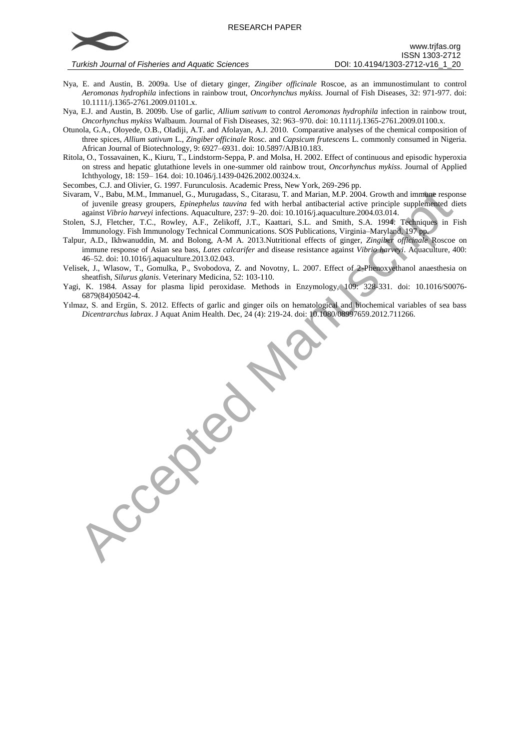

- Nya, E. and Austin, B. 2009a. Use of dietary ginger, *Zingiber officinale* Roscoe, as an immunostimulant to control *Aeromonas hydrophila* infections in rainbow trout, *Oncorhynchus mykiss.* Journal of Fish Diseases, 32: 971-977. doi: 10.1111/j.1365-2761.2009.01101.x.
- Nya, E.J. and Austin, B. 2009b. Use of garlic, *Allium sativum* to control *Aeromonas hydrophila* infection in rainbow trout, *Oncorhynchus mykiss* Walbaum. Journal of Fish Diseases, 32: 963–970. doi: 10.1111/j.1365-2761.2009.01100.x.
- Otunola, G.A., Oloyede, O.B., Oladiji, A.T. and Afolayan, A.J. 2010. Comparative analyses of the chemical composition of three spices, *Allium sativum* L., *Zingiber officinale* Rosc. and *Capsicum frutescens* L. commonly consumed in Nigeria. African Journal of Biotechnology, 9: 6927–6931. doi: 10.5897/AJB10.183.
- Ritola, O., Tossavainen, K., Kiuru, T., Lindstorm-Seppa, P. and Molsa, H. 2002. Effect of continuous and episodic hyperoxia on stress and hepatic glutathione levels in one-summer old rainbow trout, *Oncorhynchus mykiss*. [Journal of Applied](https://www.google.com.tr/url?sa=t&rct=j&q=&esrc=s&source=web&cd=1&cad=rja&uact=8&ved=0ahUKEwj14a7vm-jKAhVDWywKHdFzCuoQFggdMAA&url=http%3A%2F%2Fonlinelibrary.wiley.com%2Fjournal%2F10.1111%2F(ISSN)1439-0426&usg=AFQjCNFOpEfiGVH__CO61OCR-sTS4eIN6w)  [Ichthyology,](https://www.google.com.tr/url?sa=t&rct=j&q=&esrc=s&source=web&cd=1&cad=rja&uact=8&ved=0ahUKEwj14a7vm-jKAhVDWywKHdFzCuoQFggdMAA&url=http%3A%2F%2Fonlinelibrary.wiley.com%2Fjournal%2F10.1111%2F(ISSN)1439-0426&usg=AFQjCNFOpEfiGVH__CO61OCR-sTS4eIN6w) 18: 159– 164. doi: 10.1046/j.1439-0426.2002.00324.x.

Secombes, C.J. and Olivier, G. 1997. Furunculosis. Academic Press, New York, 269-296 pp.

- Sivaram, V., Babu, M.M., Immanuel, G., Murugadass, S., Citarasu, T. and Marian, M.P. 2004. Growth and immune response of juvenile greasy groupers, *Epinephelus tauvina* fed with herbal antibacterial active principle supplemented diets against *Vibrio harveyi* infections. Aquaculture, 237: 9–20. doi: 10.1016/j.aquaculture.2004.03.014.
- Stolen, S.J, Fletcher, T.C., Rowley, A.F., Zelikoff, J.T., Kaattari, S.L. and Smith, S.A. 1994. Techniques in Fish Immunology. Fish Immunology Technical Communications. SOS Publications, Virginia–Maryland, 197 pp.
- Talpur, A.D., Ikhwanuddin, M. and Bolong, A-M A. 2013.Nutritional effects of ginger, *Zingiber officinale* Roscoe on immune response of Asian sea bass, *Lates calcarifer* and disease resistance against *Vibrio harveyi*. Aquaculture, 400: 46–52. doi: 10.1016/j.aquaculture.2013.02.043.
- Velisek, J., Wlasow, T., Gomulka, P., Svobodova, Z. and Novotny, L. 2007. Effect of 2-Phenoxyethanol anaesthesia on sheatfish, *Silurus glanis*. Veterinary Medicina, 52: 103-110.
- Yagi, K. 1984. Assay for plasma lipid peroxidase. Methods in Enzymology, 109: 328-331. doi: 10.1016/S0076- 6879(84)05042-4.
- Yılmaz, S. and Ergün, S. 2012. Effects of garlic and ginger oils on hematological and biochemical variables of sea bass *Dicentrarchus labrax*. J Aquat Anim Health. Dec, 24 (4): 219-24. doi: 10.1080/08997659.2012.711266.

**ACCES**<br> **ACCES** ACCES AND ACCESS AND ACCESS AND ACCESS AND ACCESS AND ACCESS AND ACCESS AND ACCESS AND ACCESS AND ACCESS AND ACCESS AND ACCESS AND ACCESS AND ACCESS AND ACCESS AND ACCESS AND ACCESS AND ACCESS AND ACCESS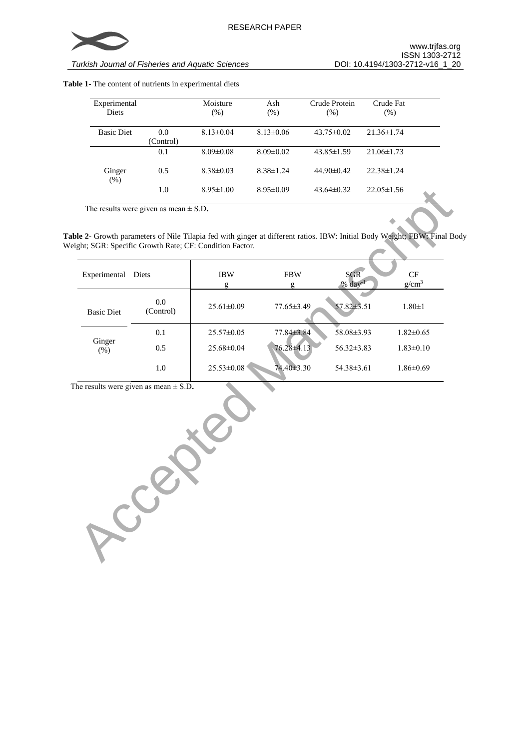

| Experimental<br><b>Diets</b> |                  | Moisture<br>(% ) | Ash<br>(% )     | Crude Protein<br>(% ) | Crude Fat<br>(% ) |  |
|------------------------------|------------------|------------------|-----------------|-----------------------|-------------------|--|
| <b>Basic Diet</b>            | 0.0<br>(Control) | $8.13 \pm 0.04$  | $8.13 \pm 0.06$ | $43.75 \pm 0.02$      | $21.36 \pm 1.74$  |  |
|                              | 0.1              | $8.09 \pm 0.08$  | $8.09 \pm 0.02$ | $43.85 \pm 1.59$      | $21.06 \pm 1.73$  |  |
| Ginger<br>$(\% )$            | 0.5              | $8.38\pm0.03$    | $8.38 \pm 1.24$ | $44.90 \pm 0.42$      | $22.38 \pm 1.24$  |  |
|                              | 1.0              | $8.95 \pm 1.00$  | $8.95 \pm 0.09$ | $43.64\pm0.32$        | $22.05 \pm 1.56$  |  |

**Table 2-** Growth parameters of Nile Tilapia fed with ginger at different ratios. IBW: Initial Body Weight; FBW: Final Body Weight; SGR: Specific Growth Rate; CF: Condition Factor.

|                       |                                                      |                                                                                                                                                                            | <b>RESEARCH PAPER</b> |                       |                              |                                  |
|-----------------------|------------------------------------------------------|----------------------------------------------------------------------------------------------------------------------------------------------------------------------------|-----------------------|-----------------------|------------------------------|----------------------------------|
|                       |                                                      | urkish Journal of Fisheries and Aquatic Sciences                                                                                                                           |                       |                       | DOI: 10.4194/1303-2712-v16_1 | www.trjfas<br><b>ISSN 1303-2</b> |
|                       | le 1- The content of nutrients in experimental diets |                                                                                                                                                                            |                       |                       |                              |                                  |
| Experimental<br>Diets |                                                      | Moisture<br>(% )                                                                                                                                                           | Ash<br>(% )           | Crude Protein<br>(% ) | Crude Fat<br>(% )            |                                  |
| <b>Basic Diet</b>     | 0.0<br>(Control)                                     | $8.13 \pm 0.04$                                                                                                                                                            | $8.13 \pm 0.06$       | 43.75 ± 0.02          | 21.36±1.74                   |                                  |
|                       | 0.1                                                  | $8.09 \pm 0.08$                                                                                                                                                            | $8.09 \pm 0.02$       | 43.85±1.59            | $21.06 \pm 1.73$             |                                  |
| Ginger<br>(% )        | 0.5                                                  | $8.38 \pm 0.03$                                                                                                                                                            | $8.38 \pm 1.24$       | 44.90±0.42            | 22.38±1.24                   |                                  |
|                       | 1.0                                                  | $8.95 \pm 1.00$                                                                                                                                                            | $8.95 \pm 0.09$       | $43.64 \pm 0.32$      | $22.05 \pm 1.56$             |                                  |
|                       | The results were given as mean $\pm$ S.D.            |                                                                                                                                                                            |                       |                       |                              |                                  |
|                       |                                                      | le 2- Growth parameters of Nile Tilapia fed with ginger at different ratios. IBW: Initial Body Weight; FBW: Final<br>ght; SGR: Specific Growth Rate; CF: Condition Factor. |                       |                       |                              |                                  |
| Experimental          | Diets                                                | <b>IBW</b><br>g                                                                                                                                                            | <b>FBW</b><br>g       | <b>SGR</b><br>% day   |                              | CF<br>$g/cm^3$                   |
| <b>Basic Diet</b>     | 0.0<br>(Control)                                     | $25.61 \pm 0.09$                                                                                                                                                           | 77.65±3.49            | 57.82±3.51            |                              | $1.80 \pm 1$                     |
|                       | 0.1                                                  | $25.57 \pm 0.05$                                                                                                                                                           | 77.84±3.84            | 58.08±3.93            |                              | $1.82 \pm 0.65$                  |
| Ginger<br>(% )        | 0.5                                                  | 25.68±0.04                                                                                                                                                                 | 76.28±4.13            | $56.32 \pm 3.83$      |                              | $1.83 \pm 0.10$                  |
|                       | 1.0                                                  | 25.53±0.08                                                                                                                                                                 | 74.40±3.30            | 54.38±3.61            |                              | $1.86 \pm 0.69$                  |
|                       | he results were given as mean $\pm$ S.D.             | Accepted                                                                                                                                                                   |                       |                       |                              |                                  |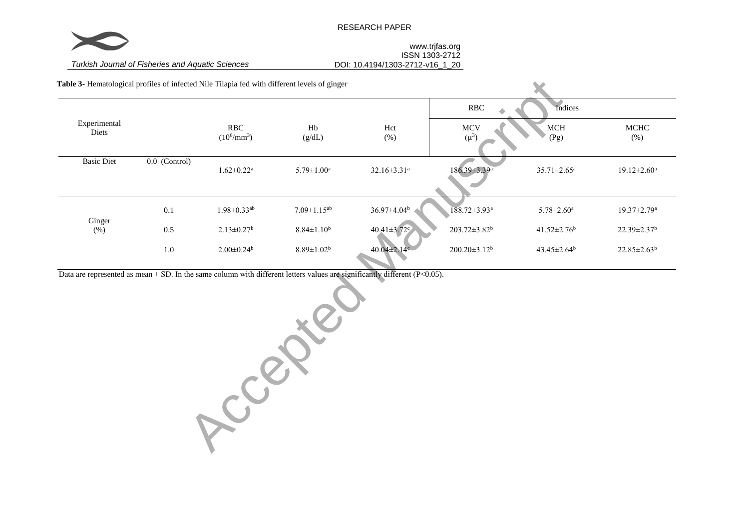#### *Turkish Journal of Fisheries and Aquatic Sciences*  www.trjfas.org ISSN 1303-2712 DOI: 10.4194/1303-2712-v16\_1\_20

|                       |                                                   |                              |                                                                                              | RESEARCH PAPER                  |                                   |                               |                               |
|-----------------------|---------------------------------------------------|------------------------------|----------------------------------------------------------------------------------------------|---------------------------------|-----------------------------------|-------------------------------|-------------------------------|
|                       | Turkish Journal of Fisheries and Aquatic Sciences |                              |                                                                                              | DOI: 10.4194/1303-2712-v16_1_20 | www.trjfas.org<br>ISSN 1303-2712  |                               |                               |
|                       |                                                   |                              | Table 3- Hematological profiles of infected Nile Tilapia fed with different levels of ginger |                                 |                                   |                               |                               |
|                       |                                                   |                              |                                                                                              |                                 | $\mathsf{R}\mathsf{B}\mathsf{C}$  | Indices                       |                               |
| Experimental<br>Diets |                                                   | RBC<br>$(10^6/\text{mm}^3)$  | $\rm Hb$<br>(g/dL)                                                                           | Hct<br>$(\% )$                  | $\operatorname{MCV}$<br>$(\mu^3)$ | $\operatorname{MCH}$<br>(Pg)  | $\rm MCHC$<br>(% )            |
| <b>Basic Diet</b>     | 0.0 (Control)                                     | $1.62{\pm}0.22^{\mathrm{a}}$ | $5.79{\pm}1.00^{\mathrm{a}}$                                                                 | $32.16 \pm 3.31$ <sup>a</sup>   | $186.39 \pm 3.39^a$               | $35.71 \pm 2.65^a$            | $19.12 \pm 2.60$ <sup>a</sup> |
|                       | $0.1\,$                                           | $1.98{\pm}0.33^{\text{ab}}$  | $7.09{\pm}1.15^{\text{ab}}$                                                                  | $36.97 \pm 4.04^b$              | 188.72±3.93 <sup>a</sup>          | $5.78{\pm}2.60^{\mathrm{a}}$  | 19.37±2.79 <sup>a</sup>       |
| Ginger<br>(% )        | $0.5\,$                                           | $2.13 \pm 0.27$ <sup>b</sup> | $8.84 \pm 1.10^b$                                                                            | $40.41 \pm 3.72$                | $203.72 \pm 3.82^b$               | $41.52 \pm 2.76$ <sup>b</sup> | 22.39±2.37 <sup>b</sup>       |
|                       | $1.0\,$                                           | $2.00{\pm}0.24^{\mathrm{b}}$ | $8.89{\pm}1.02^{\mathrm{b}}$                                                                 | $40.04 \pm 2.14$                | $200.20 \pm 3.12^b$               | 43.45±2.64 <sup>b</sup>       | $22.85 \pm 2.63^b$            |
|                       |                                                   |                              |                                                                                              |                                 |                                   |                               |                               |
|                       |                                                   | $\mathcal{C}$                |                                                                                              |                                 |                                   |                               |                               |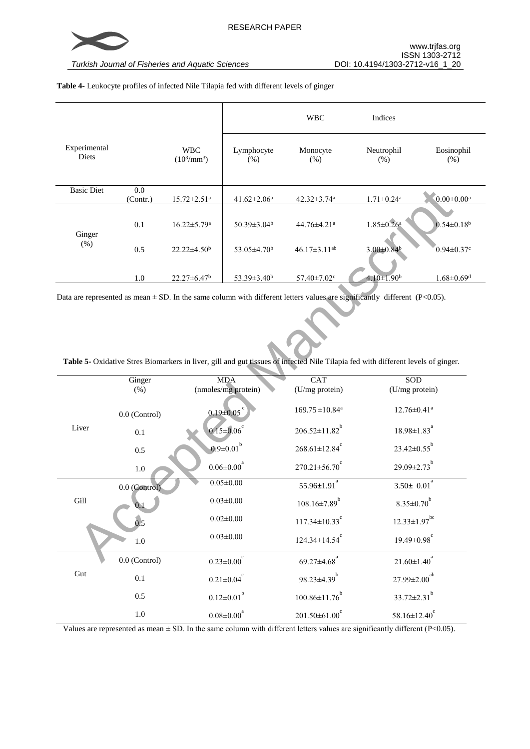| ISSN 1303-2712                  |  |
|---------------------------------|--|
| DOI: 10.4194/1303-2712-v16 1 20 |  |

|                       |          |                                    |                               | <b>WBC</b>                    | Indices                      |                              |
|-----------------------|----------|------------------------------------|-------------------------------|-------------------------------|------------------------------|------------------------------|
| Experimental<br>Diets |          | <b>WBC</b><br>$(10^3/\text{mm}^3)$ | Lymphocyte<br>(% )            | Monocyte<br>(% )              | Neutrophil<br>$(\%)$         | Eosinophil<br>$(\% )$        |
| <b>Basic Diet</b>     | 0.0      |                                    |                               |                               |                              |                              |
|                       | (Contr.) | $15.72 \pm 2.51$ <sup>a</sup>      | 41.62 $\pm$ 2.06 <sup>a</sup> | $42.32 \pm 3.74$ <sup>a</sup> | $1.71 \pm 0.24$ <sup>a</sup> | $0.00 \pm 0.00^a$            |
| Ginger                | 0.1      | $16.22 \pm 5.79$ <sup>a</sup>      | $50.39 \pm 3.04^b$            | 44.76±4.21 <sup>a</sup>       | $1.85 \pm 0.26^a$            | $0.54 \pm 0.18$ <sup>b</sup> |
| (% )                  | 0.5      | $22.22 \pm 4.50^b$                 | 53.05 $\pm$ 4.70 <sup>b</sup> | $46.17 \pm 3.11^{ab}$         | $3.00 \pm 0.84^b$            | $0.94 \pm 0.37$ <sup>c</sup> |
|                       | 1.0      | $22.27 \pm 6.47$ <sup>b</sup>      | 53.39±3.40 <sup>b</sup>       | $57.40 \pm 7.02$ <sup>c</sup> | $4.10 \pm 1.90^b$            | $1.68 \pm 0.69$ <sup>d</sup> |

|                       |                 |                                                   | <b>RESEARCH PAPER</b>                                                                    |                                                                                                                                  |                                 |                                  |
|-----------------------|-----------------|---------------------------------------------------|------------------------------------------------------------------------------------------|----------------------------------------------------------------------------------------------------------------------------------|---------------------------------|----------------------------------|
|                       |                 | Turkish Journal of Fisheries and Aquatic Sciences |                                                                                          |                                                                                                                                  | DOI: 10.4194/1303-2712-v16_1_20 | www.trjfas.org<br>ISSN 1303-2712 |
|                       |                 |                                                   | Table 4- Leukocyte profiles of infected Nile Tilapia fed with different levels of ginger |                                                                                                                                  |                                 |                                  |
|                       |                 |                                                   |                                                                                          | <b>WBC</b>                                                                                                                       | Indices                         |                                  |
| Experimental<br>Diets |                 | <b>WBC</b><br>$(10^3/\text{mm}^3)$                | Lymphocyte<br>(% )                                                                       | Monocyte<br>(% )                                                                                                                 | Neutrophil<br>$(\%)$            | Eosinophi<br>(% )                |
| <b>Basic Diet</b>     | 0.0<br>(Contr.) | $15.72 \pm 2.51$ <sup>a</sup>                     | 41.62 $\pm$ 2.06 <sup>a</sup>                                                            | 42.32±3.74 <sup>a</sup>                                                                                                          | $1.71 \pm 0.24$ <sup>a</sup>    | $0.00 \pm 0.00$                  |
| Ginger                | 0.1             | $16.22 \pm 5.79^{\mathrm{a}}$                     | 44.76±4.21ª<br>50.39 $\pm$ 3.04 <sup>b</sup>                                             |                                                                                                                                  | $1.85 \pm 0.26^a$               | $0.54 \pm 0.18$                  |
| $(\%)$                | 0.5             | $22.22 \pm 4.50^b$                                | 53.05±4.70 <sup>b</sup>                                                                  | $46.17 \pm 3.11^{ab}$                                                                                                            | $3.00 \pm 0.84$ <sup>b</sup>    | $0.94 \pm 0.37$                  |
|                       | 1.0             | $22.27 \pm 6.47$ <sup>b</sup>                     | 53.39 $\pm$ 3.40 <sup>b</sup>                                                            | 57.40±7.02 <sup>c</sup>                                                                                                          | $4.10 \pm 1.90^b$               | $1.68 \pm 0.69$                  |
|                       |                 |                                                   |                                                                                          | Table 5- Oxidative Stres Biomarkers in liver, gill and gut tissues of infected Nile Tilapia fed with different levels of ginger. |                                 |                                  |
|                       | Ginger<br>(% )  |                                                   | <b>MDA</b><br>(nmoles/mg protein)                                                        | CAT<br>(U/mg protein)                                                                                                            | SOD<br>(U/mg protein)           |                                  |
|                       | 0.0 (Control)   |                                                   | $0.19 \pm 0.05$                                                                          | $169.75 \pm 10.84$ <sup>a</sup>                                                                                                  | $12.76 \pm 0.41$ <sup>a</sup>   |                                  |
| Liver                 | $0.1\,$         |                                                   | $0.15 \pm 0.06$ <sup>c</sup>                                                             |                                                                                                                                  | $18.98 \pm 1.83$ <sup>a</sup>   |                                  |
|                       | $0.5\,$         |                                                   | $0.9 \pm 0.01^b$                                                                         | $268.61 \pm 12.84$ <sup>c</sup>                                                                                                  |                                 | $23.42 \pm 0.55^b$               |
|                       | $1.0\,$         |                                                   | $0.06{\pm}0.00^{^a}$                                                                     |                                                                                                                                  | $29.09 \pm 2.73^{b}$            |                                  |
|                       | 0.0 (Control)   |                                                   | $0.05 \pm 0.00$                                                                          | $55.96 \pm 1.91^{a}$                                                                                                             | $3.50 \pm 0.01$ <sup>a</sup>    |                                  |
| Gill                  | 0.1             |                                                   | $0.03 \pm 0.00$                                                                          | $108.16{\pm}7.89^{b}$                                                                                                            | $8.35 \pm 0.70^b$               |                                  |
|                       | 0.5             |                                                   | $0.02{\pm}0.00$                                                                          | $117.34 \pm 10.33$ <sup>c</sup>                                                                                                  | $12.33 \pm 1.97$ <sup>bc</sup>  |                                  |
|                       | $1.0\,$         |                                                   | $0.03{\pm}0.00$                                                                          | $124.34 \pm 14.54$ <sup>c</sup>                                                                                                  | $19.49{\pm}0.98^\circ$          |                                  |
|                       | 0.0 (Control)   |                                                   | $0.23 \pm 0.00^{\circ}$                                                                  | $69.27{\pm}4.68^{a}$                                                                                                             | $21.60 \pm 1.40$ <sup>a</sup>   |                                  |
| Gut                   | 0.1             |                                                   | $0.21{\pm}0.04^\circ$                                                                    | $98.23 \pm 4.39^{b}$                                                                                                             | $27.99 \pm 2.00^{ab}$           |                                  |
|                       | 0.5             |                                                   | $0.12 \pm 0.01^{b}$                                                                      | $100.86 \pm 11.76^{b}$                                                                                                           | $33.72 \pm 2.31^b$              |                                  |
|                       | $1.0\,$         |                                                   | $0.08{\pm0.00}^{\mathrm{a}}$                                                             | $201.50\pm61.00$ <sup>c</sup>                                                                                                    | 58.16 $\pm$ 12.40 $^{\circ}$    |                                  |

Values are represented as mean  $\pm$  SD. In the same column with different letters values are significantly different (P<0.05).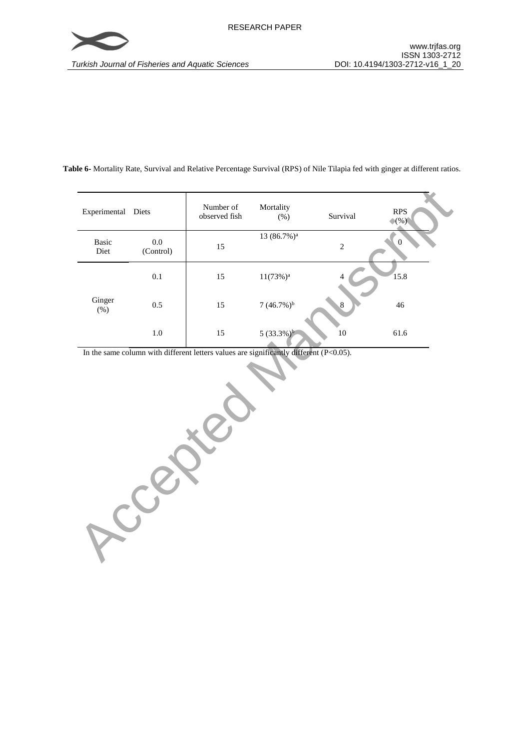

**Table 6-** Mortality Rate, Survival and Relative Percentage Survival (RPS) of Nile Tilapia fed with ginger at different ratios.

|                   |                      |                                                                                                                          | RESEARCH PAPER          |            |                                |  |
|-------------------|----------------------|--------------------------------------------------------------------------------------------------------------------------|-------------------------|------------|--------------------------------|--|
|                   |                      |                                                                                                                          |                         |            | www.trjfas.o<br>ISSN 1303-27   |  |
|                   |                      | urkish Journal of Fisheries and Aquatic Sciences                                                                         |                         |            | DOI: 10.4194/1303-2712-v16_1_2 |  |
|                   |                      |                                                                                                                          |                         |            |                                |  |
|                   |                      |                                                                                                                          |                         |            |                                |  |
|                   |                      | le 6- Mortality Rate, Survival and Relative Percentage Survival (RPS) of Nile Tilapia fed with ginger at different ratio |                         |            |                                |  |
| Experimental      | Diets                | Number of<br>observed fish                                                                                               | Mortality<br>$(\% )$    | Survival   | <b>RPS</b><br>(% )             |  |
| Basic<br>Diet     | $0.0\,$<br>(Control) | 15                                                                                                                       | 13 (86.7%) <sup>a</sup> | $\sqrt{2}$ | $\boldsymbol{0}$               |  |
|                   | $0.1\,$              | 15                                                                                                                       | $11(73%)^a$             |            | 15.8                           |  |
| Ginger<br>$(\% )$ | 0.5                  | 15                                                                                                                       | $7(46.7%)$ <sup>b</sup> | 8          | 46                             |  |
|                   | $1.0\,$              | 15                                                                                                                       | $5(33.3\%)^b$           | $10\,$     | 61.6                           |  |
|                   |                      | In the same column with different letters values are significantly different (P<0.05).                                   |                         |            |                                |  |
|                   |                      |                                                                                                                          |                         |            |                                |  |
|                   |                      | Creek                                                                                                                    |                         |            |                                |  |
|                   |                      |                                                                                                                          |                         |            |                                |  |
|                   |                      |                                                                                                                          |                         |            |                                |  |
|                   |                      |                                                                                                                          |                         |            |                                |  |